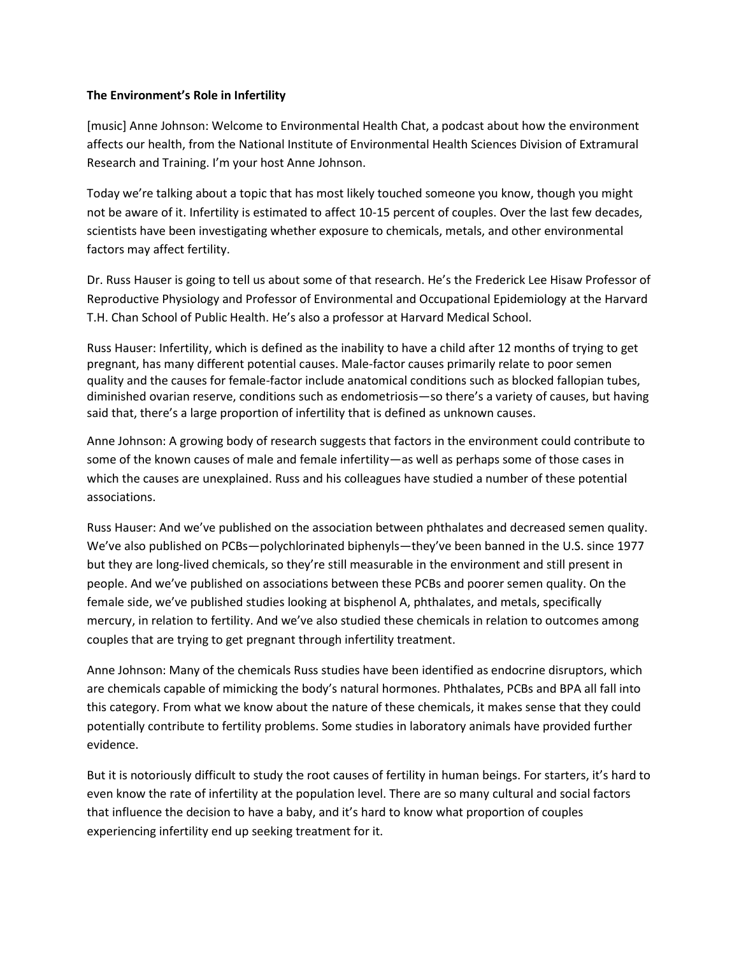## **The Environment's Role in Infertility**

[music] Anne Johnson: Welcome to Environmental Health Chat, a podcast about how the environment affects our health, from the National Institute of Environmental Health Sciences Division of Extramural Research and Training. I'm your host Anne Johnson.

Today we're talking about a topic that has most likely touched someone you know, though you might not be aware of it. Infertility is estimated to affect 10-15 percent of couples. Over the last few decades, scientists have been investigating whether exposure to chemicals, metals, and other environmental factors may affect fertility.

Dr. Russ Hauser is going to tell us about some of that research. He's the Frederick Lee Hisaw Professor of Reproductive Physiology and Professor of Environmental and Occupational Epidemiology at the Harvard T.H. Chan School of Public Health. He's also a professor at Harvard Medical School.

Russ Hauser: Infertility, which is defined as the inability to have a child after 12 months of trying to get pregnant, has many different potential causes. Male-factor causes primarily relate to poor semen quality and the causes for female-factor include anatomical conditions such as blocked fallopian tubes, diminished ovarian reserve, conditions such as endometriosis—so there's a variety of causes, but having said that, there's a large proportion of infertility that is defined as unknown causes.

Anne Johnson: A growing body of research suggests that factors in the environment could contribute to some of the known causes of male and female infertility—as well as perhaps some of those cases in which the causes are unexplained. Russ and his colleagues have studied a number of these potential associations.

Russ Hauser: And we've published on the association between phthalates and decreased semen quality. We've also published on PCBs—polychlorinated biphenyls—they've been banned in the U.S. since 1977 but they are long-lived chemicals, so they're still measurable in the environment and still present in people. And we've published on associations between these PCBs and poorer semen quality. On the female side, we've published studies looking at bisphenol A, phthalates, and metals, specifically mercury, in relation to fertility. And we've also studied these chemicals in relation to outcomes among couples that are trying to get pregnant through infertility treatment.

Anne Johnson: Many of the chemicals Russ studies have been identified as endocrine disruptors, which are chemicals capable of mimicking the body's natural hormones. Phthalates, PCBs and BPA all fall into this category. From what we know about the nature of these chemicals, it makes sense that they could potentially contribute to fertility problems. Some studies in laboratory animals have provided further evidence.

But it is notoriously difficult to study the root causes of fertility in human beings. For starters, it's hard to even know the rate of infertility at the population level. There are so many cultural and social factors that influence the decision to have a baby, and it's hard to know what proportion of couples experiencing infertility end up seeking treatment for it.